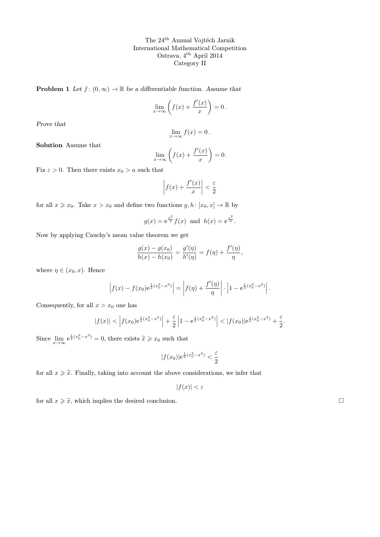**Problem 1** Let  $f : (0, \infty) \to \mathbb{R}$  be a differentiable function. Assume that

$$
\lim_{x \to \infty} \left( f(x) + \frac{f'(x)}{x} \right) = 0.
$$

Prove that

$$
\lim_{x \to \infty} f(x) = 0.
$$

Solution Assume that

$$
\lim_{x \to \infty} \left( f(x) + \frac{f'(x)}{x} \right) = 0.
$$

Fix  $\varepsilon > 0$ . Then there exists  $x_0 > a$  such that

$$
\left| f(x) + \frac{f'(x)}{x} \right| < \frac{\varepsilon}{2}
$$

for all  $x \geq x_0$ . Take  $x > x_0$  and define two functions  $g, h: [x_0, x] \to \mathbb{R}$  by

$$
g(x) = e^{\frac{x^2}{2}} f(x)
$$
 and  $h(x) = e^{\frac{x^2}{2}}$ .

Now by applying Cauchy's mean value theorem we get

$$
\frac{g(x) - g(x_0)}{h(x) - h(x_0)} = \frac{g'(\eta)}{h'(\eta)} = f(\eta) + \frac{f'(\eta)}{\eta},
$$

where  $\eta \in (x_0, x)$ . Hence

$$
\left|f(x) - f(x_0)e^{\frac{1}{2}(x_0^2 - x^2)}\right| = \left|f(\eta) + \frac{f'(\eta)}{\eta}\right| \cdot \left|1 - e^{\frac{1}{2}(x_0^2 - x^2)}\right|.
$$

Consequently, for all  $x > x_0$  one has

$$
|f(x)| < \left| f(x_0) e^{\frac{1}{2}(x_0^2 - x^2)} \right| + \frac{\varepsilon}{2} \left| 1 - e^{\frac{1}{2}(x_0^2 - x^2)} \right| < |f(x_0)| e^{\frac{1}{2}(x_0^2 - x^2)} + \frac{\varepsilon}{2}
$$

Since  $\lim_{x \to \infty} e^{\frac{1}{2}(x_0^2 - x^2)} = 0$ , there exists  $\tilde{x} \geq x_0$  such that

$$
|f(x_0)|e^{\frac{1}{2}(x_0^2 - x^2)} < \frac{\varepsilon}{2}
$$

for all  $x \geqslant \tilde{x}$ . Finally, taking into account the above considerations, we infer that

$$
|f(x)| < \varepsilon
$$

for all  $x \geqslant \tilde{x}$ , which implies the desired conclusion.

.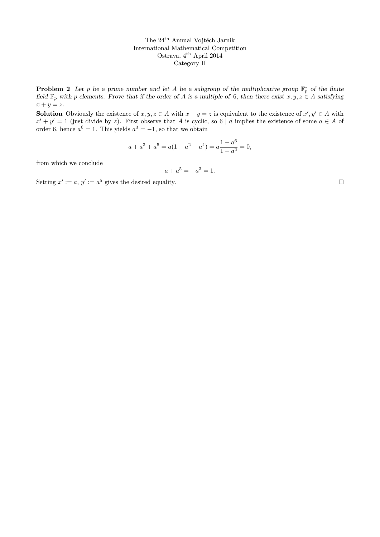**Problem 2** Let p be a prime number and let A be a subgroup of the multiplicative group  $\mathbb{F}_p^*$  of the finite field  $\mathbb{F}_p$  with p elements. Prove that if the order of A is a multiple of 6, then there exist  $x, y, z \in A$  satisfying  $x + y = z.$ 

**Solution** Obviously the existence of  $x, y, z \in A$  with  $x + y = z$  is equivalent to the existence of  $x', y' \in A$  with  $x' + y' = 1$  (just divide by z). First observe that A is cyclic, so 6 | d implies the existence of some  $a \in A$  of order 6, hence  $a^6 = 1$ . This yields  $a^3 = -1$ , so that we obtain

$$
a + a3 + a5 = a(1 + a2 + a4) = a\frac{1 - a6}{1 - a2} = 0,
$$

from which we conclude

$$
a + a^5 = -a^3 = 1.
$$

Setting  $x' := a, y' := a^5$  gives the desired equality.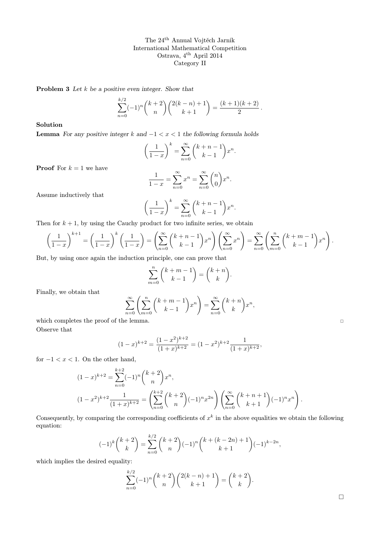Problem 3 Let  $k$  be a positive even integer. Show that

$$
\sum_{n=0}^{k/2} (-1)^n {k+2 \choose n} {2(k-n)+1 \choose k+1} = \frac{(k+1)(k+2)}{2}.
$$

Solution

**Lemma** For any positive integer k and  $-1 < x < 1$  the following formula holds

$$
\left(\frac{1}{1-x}\right)^k = \sum_{n=0}^{\infty} {k+n-1 \choose k-1} x^n.
$$

**Proof** For  $k = 1$  we have

$$
\frac{1}{1-x} = \sum_{n=0}^{\infty} x^n = \sum_{n=0}^{\infty} \binom{n}{0} x^n.
$$

Assume inductively that

$$
\left(\frac{1}{1-x}\right)^k = \sum_{n=0}^{\infty} {k+n-1 \choose k-1} x^n.
$$

Then for  $k + 1$ , by using the Cauchy product for two infinite series, we obtain

$$
\left(\frac{1}{1-x}\right)^{k+1} = \left(\frac{1}{1-x}\right)^k \left(\frac{1}{1-x}\right) = \left(\sum_{n=0}^{\infty} {k+n-1 \choose k-1} x^n\right) \left(\sum_{n=0}^{\infty} x^n\right) = \sum_{n=0}^{\infty} \left(\sum_{m=0}^n {k+m-1 \choose k-1} x^n\right).
$$

But, by using once again the induction principle, one can prove that

$$
\sum_{m=0}^{n} {k+m-1 \choose k-1} = {k+n \choose k}.
$$

Finally, we obtain that

$$
\sum_{n=0}^{\infty} \left( \sum_{m=0}^{n} {k+m-1 \choose k-1} x^{n} \right) = \sum_{n=0}^{\infty} {k+n \choose k} x^{n},
$$

which completes the proof of the lemma. Observe that

$$
(1-x)^{k+2} = \frac{(1-x^2)^{k+2}}{(1+x)^{k+2}} = (1-x^2)^{k+2} \frac{1}{(1+x)^{k+2}},
$$

for  $-1 < x < 1$ . On the other hand,

$$
(1-x)^{k+2} = \sum_{n=0}^{k+2} (-1)^n {k+2 \choose n} x^n,
$$
  

$$
(1-x^2)^{k+2} \frac{1}{(1+x)^{k+2}} = \left(\sum_{n=0}^{k+2} {k+2 \choose n} (-1)^n x^{2n}\right) \left(\sum_{n=0}^{\infty} {k+n+1 \choose k+1} (-1)^n x^n\right).
$$

Consequently, by comparing the corresponding coefficients of  $x^k$  in the above equalities we obtain the following equation:

$$
(-1)^k \binom{k+2}{k} = \sum_{n=0}^{k/2} \binom{k+2}{n} (-1)^n \binom{k+(k-2n)+1}{k+1} (-1)^{k-2n},
$$

which implies the desired equality:

$$
\sum_{n=0}^{k/2} (-1)^n {k+2 \choose n} {2(k-n)+1 \choose k+1} = {k+2 \choose k}.
$$